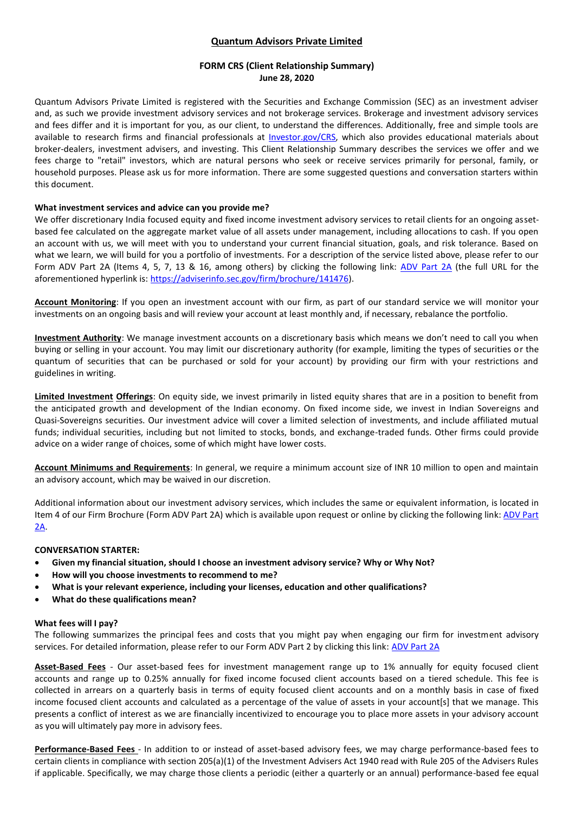## **Quantum Advisors Private Limited**

### **FORM CRS (Client Relationship Summary) June 28, 2020**

Quantum Advisors Private Limited is registered with the Securities and Exchange Commission (SEC) as an investment adviser and, as such we provide investment advisory services and not brokerage services. Brokerage and investment advisory services and fees differ and it is important for you, as our client, to understand the differences. Additionally, free and simple tools are available to research firms and financial professionals at *Investor.gov/CRS*, which also provides educational materials about broker-dealers, investment advisers, and investing. This Client Relationship Summary describes the services we offer and we fees charge to "retail" investors, which are natural persons who seek or receive services primarily for personal, family, or household purposes. Please ask us for more information. There are some suggested questions and conversation starters within this document.

### **What investment services and advice can you provide me?**

We offer discretionary India focused equity and fixed income investment advisory services to retail clients for an ongoing assetbased fee calculated on the aggregate market value of all assets under management, including allocations to cash. If you open an account with us, we will meet with you to understand your current financial situation, goals, and risk tolerance. Based on what we learn, we will build for you a portfolio of investments. For a description of the service listed above, please refer to our Form [ADV Part 2A](https://adviserinfo.sec.gov/firm/brochure/141476) (Items 4, 5, 7, 13 & 16, among others) by clicking the following link: ADV Part 2A (the full URL for the aforementioned hyperlink is: [https://adviserinfo.sec.gov/firm/brochure/141476\)](https://adviserinfo.sec.gov/firm/brochure/141476).

**Account Monitoring**: If you open an investment account with our firm, as part of our standard service we will monitor your investments on an ongoing basis and will review your account at least monthly and, if necessary, rebalance the portfolio.

**Investment Authority**: We manage investment accounts on a discretionary basis which means we don't need to call you when buying or selling in your account. You may limit our discretionary authority (for example, limiting the types of securities or the quantum of securities that can be purchased or sold for your account) by providing our firm with your restrictions and guidelines in writing.

**Limited Investment Offerings**: On equity side, we invest primarily in listed equity shares that are in a position to benefit from the anticipated growth and development of the Indian economy. On fixed income side, we invest in Indian Sovereigns and Quasi-Sovereigns securities. Our investment advice will cover a limited selection of investments, and include affiliated mutual funds; individual securities, including but not limited to stocks, bonds, and exchange-traded funds. Other firms could provide advice on a wider range of choices, some of which might have lower costs.

**Account Minimums and Requirements**: In general, we require a minimum account size of INR 10 million to open and maintain an advisory account, which may be waived in our discretion.

Additional information about our investment advisory services, which includes the same or equivalent information, is located in Item 4 of our Firm Brochure (Form ADV Part 2A) which is available upon request or online by clicking the following link[: ADV Part](https://adviserinfo.sec.gov/firm/brochure/141476)  [2A.](https://adviserinfo.sec.gov/firm/brochure/141476)

### **CONVERSATION STARTER:**

- **Given my financial situation, should I choose an investment advisory service? Why or Why Not?**
- **How will you choose investments to recommend to me?**
- **What is your relevant experience, including your licenses, education and other qualifications?**
- **What do these qualifications mean?**

#### **What fees will I pay?**

The following summarizes the principal fees and costs that you might pay when engaging our firm for investment advisory services. For detailed information, please refer to our Form ADV Part 2 by clicking this link: [ADV Part 2A](https://adviserinfo.sec.gov/firm/brochure/141476)

**Asset-Based Fees** - Our asset-based fees for investment management range up to 1% annually for equity focused client accounts and range up to 0.25% annually for fixed income focused client accounts based on a tiered schedule. This fee is collected in arrears on a quarterly basis in terms of equity focused client accounts and on a monthly basis in case of fixed income focused client accounts and calculated as a percentage of the value of assets in your account[s] that we manage. This presents a conflict of interest as we are financially incentivized to encourage you to place more assets in your advisory account as you will ultimately pay more in advisory fees.

**Performance-Based Fees** - In addition to or instead of asset-based advisory fees, we may charge performance-based fees to certain clients in compliance with section 205(a)(1) of the Investment Advisers Act 1940 read with Rule 205 of the Advisers Rules if applicable. Specifically, we may charge those clients a periodic (either a quarterly or an annual) performance-based fee equal